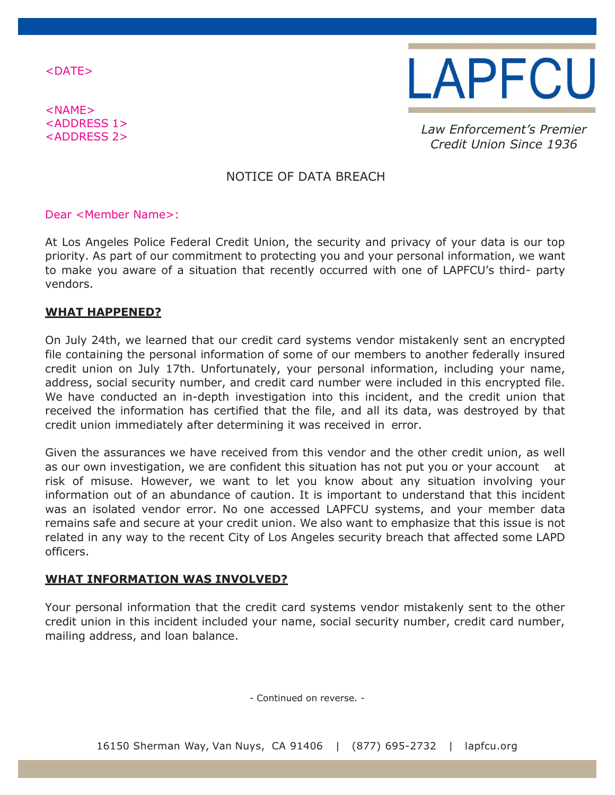<DATE>

<NAME> <ADDRESS 1>



<ADDRESS 2> *Law Enforcement's Premier Credit Union Since 1936*

# NOTICE OF DATA BREACH

## Dear <Member Name>:

At Los Angeles Police Federal Credit Union, the security and privacy of your data is our top priority. As part of our commitment to protecting you and your personal information, we want to make you aware of a situation that recently occurred with one of LAPFCU's third- party vendors.

## **WHAT HAPPENED?**

On July 24th, we learned that our credit card systems vendor mistakenly sent an encrypted file containing the personal information of some of our members to another federally insured credit union on July 17th. Unfortunately, your personal information, including your name, address, social security number, and credit card number were included in this encrypted file. We have conducted an in-depth investigation into this incident, and the credit union that received the information has certified that the file, and all its data, was destroyed by that credit union immediately after determining it was received in error.

Given the assurances we have received from this vendor and the other credit union, as well as our own investigation, we are confident this situation has not put you or your account at risk of misuse. However, we want to let you know about any situation involving your information out of an abundance of caution. It is important to understand that this incident was an isolated vendor error. No one accessed LAPFCU systems, and your member data remains safe and secure at your credit union. We also want to emphasize that this issue is not related in any way to the recent City of Los Angeles security breach that affected some LAPD officers.

## **WHAT INFORMATION WAS INVOLVED?**

Your personal information that the credit card systems vendor mistakenly sent to the other credit union in this incident included your name, social security number, credit card number, mailing address, and loan balance.

- Continued on reverse. -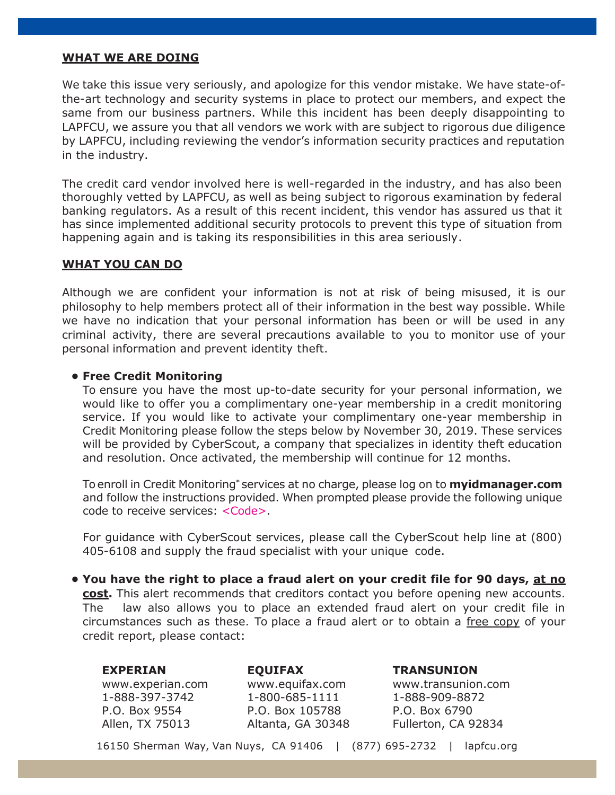## **WHAT WE ARE DOING**

We take this issue very seriously, and apologize for this vendor mistake. We have state-ofthe-art technology and security systems in place to protect our members, and expect the same from our business partners. While this incident has been deeply disappointing to LAPFCU, we assure you that all vendors we work with are subject to rigorous due diligence by LAPFCU, including reviewing the vendor's information security practices and reputation in the industry.

The credit card vendor involved here is well-regarded in the industry, and has also been thoroughly vetted by LAPFCU, as well as being subject to rigorous examination by federal banking regulators. As a result of this recent incident, this vendor has assured us that it has since implemented additional security protocols to prevent this type of situation from happening again and is taking its responsibilities in this area seriously.

## **WHAT YOU CAN DO**

Although we are confident your information is not at risk of being misused, it is our philosophy to help members protect all of their information in the best way possible. While we have no indication that your personal information has been or will be used in any criminal activity, there are several precautions available to you to monitor use of your personal information and prevent identity theft.

## **• Free Credit Monitoring**

To ensure you have the most up-to-date security for your personal information, we would like to offer you a complimentary one-year membership in a credit monitoring service. If you would like to activate your complimentary one-year membership in Credit Monitoring please follow the steps below by November 30, 2019. These services will be provided by CyberScout, a company that specializes in identity theft education and resolution. Once activated, the membership will continue for 12 months.

To enroll in Credit Monitoring\* services at no charge, please log on to **myidmanager.com**  and follow the instructions provided. When prompted please provide the following unique code to receive services: <Code>.

For guidance with CyberScout services, please call the CyberScout help line at (800) 405-6108 and supply the fraud specialist with your unique code.

**• You have the right to place a fraud alert on your credit file for 90 days, at no cost.** This alert recommends that creditors contact you before opening new accounts. The law also allows you to place an extended fraud alert on your credit file in circumstances such as these. To place a fraud alert or to obtain a free copy of your credit report, please contact:

#### **EXPERIAN**

[www.experian.com](http://www.experian.com/) 1-888-397-3742 P.O. Box 9554 Allen, TX 75013

**EQUIFAX** [www.equifax.com](http://www.equifax.com/) 1-800-685-1111 P.O. Box 105788 Altanta, GA 30348 **TRANSUNION** [www.transunion.com](http://www.transunion.com/) 1-888-909-8872

Fullerton, CA 92834

P.O. Box 6790

16150 Sherman Way, Van Nuys, CA 91406 | (877) 695-2732 | lapfcu.org